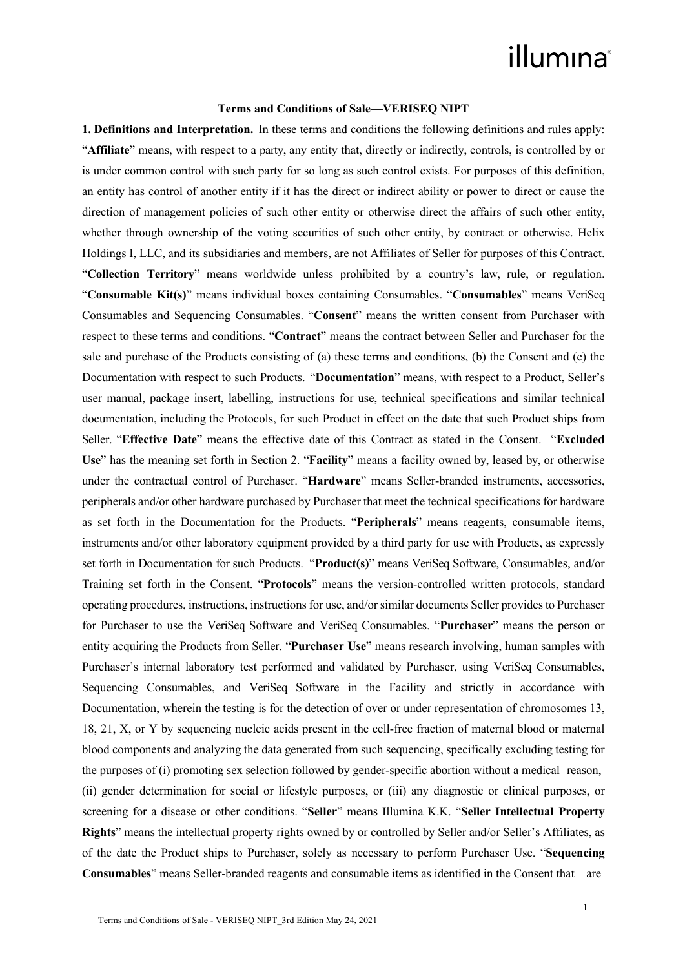### illumına

### **Terms and Conditions of Sale—VERISEQ NIPT**

**1. Definitions and Interpretation.** In these terms and conditions the following definitions and rules apply: "**Affiliate**" means, with respect to a party, any entity that, directly or indirectly, controls, is controlled by or is under common control with such party for so long as such control exists. For purposes of this definition, an entity has control of another entity if it has the direct or indirect ability or power to direct or cause the direction of management policies of such other entity or otherwise direct the affairs of such other entity, whether through ownership of the voting securities of such other entity, by contract or otherwise. Helix Holdings I, LLC, and its subsidiaries and members, are not Affiliates of Seller for purposes of this Contract. "**Collection Territory**" means worldwide unless prohibited by a country's law, rule, or regulation. "**Consumable Kit(s)**" means individual boxes containing Consumables. "**Consumables**" means VeriSeq Consumables and Sequencing Consumables. "**Consent**" means the written consent from Purchaser with respect to these terms and conditions. "**Contract**" means the contract between Seller and Purchaser for the sale and purchase of the Products consisting of (a) these terms and conditions, (b) the Consent and (c) the Documentation with respect to such Products. "**Documentation**" means, with respect to a Product, Seller's user manual, package insert, labelling, instructions for use, technical specifications and similar technical documentation, including the Protocols, for such Product in effect on the date that such Product ships from Seller. "**Effective Date**" means the effective date of this Contract as stated in the Consent. "**Excluded Use**" has the meaning set forth in Section 2. "**Facility**" means a facility owned by, leased by, or otherwise under the contractual control of Purchaser. "**Hardware**" means Seller-branded instruments, accessories, peripherals and/or other hardware purchased by Purchaser that meet the technical specifications for hardware as set forth in the Documentation for the Products. "**Peripherals**" means reagents, consumable items, instruments and/or other laboratory equipment provided by a third party for use with Products, as expressly set forth in Documentation for such Products. "**Product(s)**" means VeriSeq Software, Consumables, and/or Training set forth in the Consent. "**Protocols**" means the version-controlled written protocols, standard operating procedures, instructions, instructionsfor use, and/or similar documents Seller provides to Purchaser for Purchaser to use the VeriSeq Software and VeriSeq Consumables. "**Purchaser**" means the person or entity acquiring the Products from Seller. "**Purchaser Use**" means research involving, human samples with Purchaser's internal laboratory test performed and validated by Purchaser, using VeriSeq Consumables, Sequencing Consumables, and VeriSeq Software in the Facility and strictly in accordance with Documentation, wherein the testing is for the detection of over or under representation of chromosomes 13, 18, 21, X, or Y by sequencing nucleic acids present in the cell-free fraction of maternal blood or maternal blood components and analyzing the data generated from such sequencing, specifically excluding testing for the purposes of (i) promoting sex selection followed by gender-specific abortion without a medical reason, (ii) gender determination for social or lifestyle purposes, or (iii) any diagnostic or clinical purposes, or screening for a disease or other conditions. "**Seller**" means Illumina K.K. "**Seller Intellectual Property Rights**" means the intellectual property rights owned by or controlled by Seller and/or Seller's Affiliates, as of the date the Product ships to Purchaser, solely as necessary to perform Purchaser Use. "**Sequencing Consumables**" means Seller-branded reagents and consumable items as identified in the Consent that are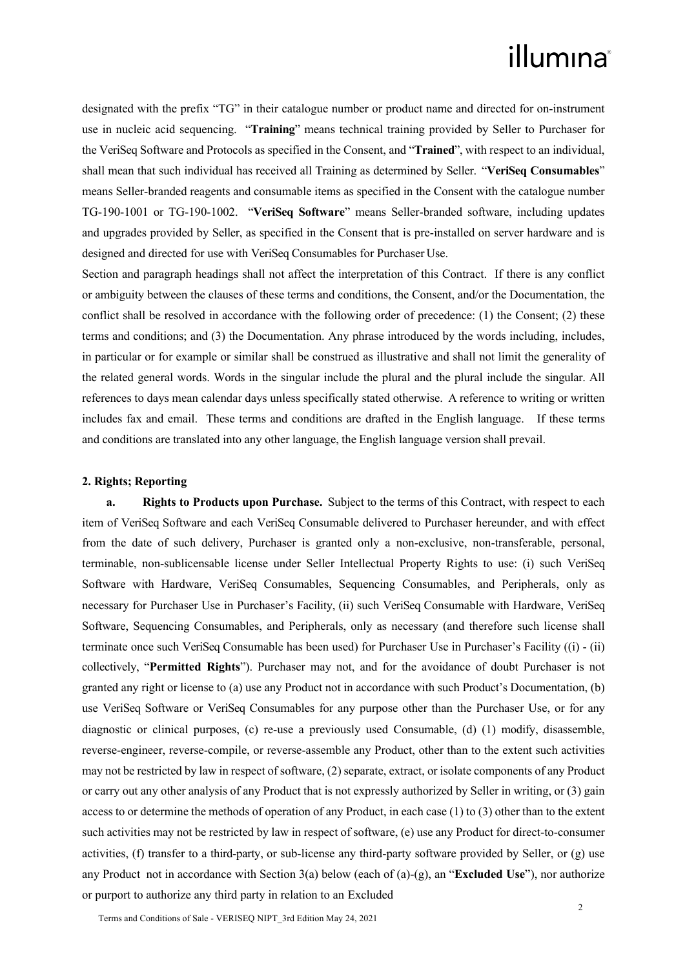designated with the prefix "TG" in their catalogue number or product name and directed for on-instrument use in nucleic acid sequencing. "**Training**" means technical training provided by Seller to Purchaser for the VeriSeq Software and Protocols as specified in the Consent, and "**Trained**", with respect to an individual, shall mean that such individual has received all Training as determined by Seller. "**VeriSeq Consumables**" means Seller-branded reagents and consumable items as specified in the Consent with the catalogue number TG-190-1001 or TG-190-1002. "**VeriSeq Software**" means Seller-branded software, including updates and upgrades provided by Seller, as specified in the Consent that is pre-installed on server hardware and is designed and directed for use with VeriSeq Consumables for Purchaser Use.

Section and paragraph headings shall not affect the interpretation of this Contract. If there is any conflict or ambiguity between the clauses of these terms and conditions, the Consent, and/or the Documentation, the conflict shall be resolved in accordance with the following order of precedence: (1) the Consent; (2) these terms and conditions; and (3) the Documentation. Any phrase introduced by the words including, includes, in particular or for example or similar shall be construed as illustrative and shall not limit the generality of the related general words. Words in the singular include the plural and the plural include the singular. All references to days mean calendar days unless specifically stated otherwise. A reference to writing or written includes fax and email. These terms and conditions are drafted in the English language. If these terms and conditions are translated into any other language, the English language version shall prevail.

#### **2. Rights; Reporting**

**a. Rights to Products upon Purchase.** Subject to the terms of this Contract, with respect to each item of VeriSeq Software and each VeriSeq Consumable delivered to Purchaser hereunder, and with effect from the date of such delivery, Purchaser is granted only a non-exclusive, non-transferable, personal, terminable, non-sublicensable license under Seller Intellectual Property Rights to use: (i) such VeriSeq Software with Hardware, VeriSeq Consumables, Sequencing Consumables, and Peripherals, only as necessary for Purchaser Use in Purchaser's Facility, (ii) such VeriSeq Consumable with Hardware, VeriSeq Software, Sequencing Consumables, and Peripherals, only as necessary (and therefore such license shall terminate once such VeriSeq Consumable has been used) for Purchaser Use in Purchaser's Facility ((i) - (ii) collectively, "**Permitted Rights**"). Purchaser may not, and for the avoidance of doubt Purchaser is not granted any right or license to (a) use any Product not in accordance with such Product's Documentation, (b) use VeriSeq Software or VeriSeq Consumables for any purpose other than the Purchaser Use, or for any diagnostic or clinical purposes, (c) re-use a previously used Consumable, (d) (1) modify, disassemble, reverse-engineer, reverse-compile, or reverse-assemble any Product, other than to the extent such activities may not be restricted by law in respect of software, (2) separate, extract, or isolate components of any Product or carry out any other analysis of any Product that is not expressly authorized by Seller in writing, or (3) gain access to or determine the methods of operation of any Product, in each case (1) to (3) other than to the extent such activities may not be restricted by law in respect of software, (e) use any Product for direct-to-consumer activities, (f) transfer to a third-party, or sub-license any third-party software provided by Seller, or (g) use any Product not in accordance with Section 3(a) below (each of (a)-(g), an "**Excluded Use**"), nor authorize or purport to authorize any third party in relation to an Excluded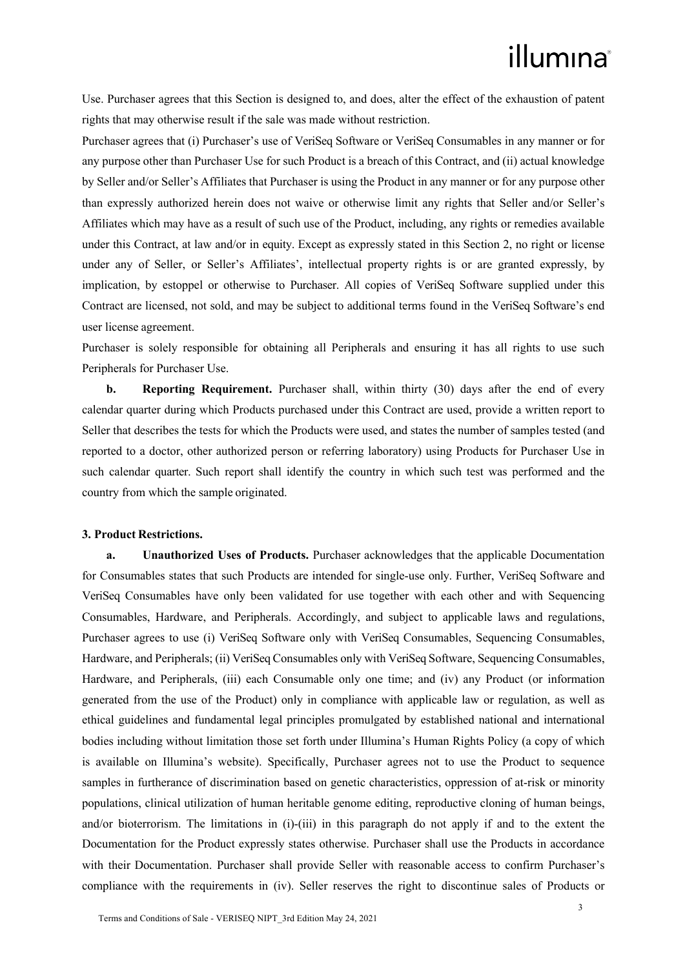Use. Purchaser agrees that this Section is designed to, and does, alter the effect of the exhaustion of patent rights that may otherwise result if the sale was made without restriction.

Purchaser agrees that (i) Purchaser's use of VeriSeq Software or VeriSeq Consumables in any manner or for any purpose other than Purchaser Use for such Product is a breach of this Contract, and (ii) actual knowledge by Seller and/or Seller's Affiliates that Purchaser is using the Product in any manner or for any purpose other than expressly authorized herein does not waive or otherwise limit any rights that Seller and/or Seller's Affiliates which may have as a result of such use of the Product, including, any rights or remedies available under this Contract, at law and/or in equity. Except as expressly stated in this Section 2, no right or license under any of Seller, or Seller's Affiliates', intellectual property rights is or are granted expressly, by implication, by estoppel or otherwise to Purchaser. All copies of VeriSeq Software supplied under this Contract are licensed, not sold, and may be subject to additional terms found in the VeriSeq Software's end user license agreement.

Purchaser is solely responsible for obtaining all Peripherals and ensuring it has all rights to use such Peripherals for Purchaser Use.

**b. Reporting Requirement.** Purchaser shall, within thirty (30) days after the end of every calendar quarter during which Products purchased under this Contract are used, provide a written report to Seller that describes the tests for which the Products were used, and states the number of samples tested (and reported to a doctor, other authorized person or referring laboratory) using Products for Purchaser Use in such calendar quarter. Such report shall identify the country in which such test was performed and the country from which the sample originated.

### **3. Product Restrictions.**

**a. Unauthorized Uses of Products.** Purchaser acknowledges that the applicable Documentation for Consumables states that such Products are intended for single-use only. Further, VeriSeq Software and VeriSeq Consumables have only been validated for use together with each other and with Sequencing Consumables, Hardware, and Peripherals. Accordingly, and subject to applicable laws and regulations, Purchaser agrees to use (i) VeriSeq Software only with VeriSeq Consumables, Sequencing Consumables, Hardware, and Peripherals; (ii) VeriSeq Consumables only with VeriSeq Software, Sequencing Consumables, Hardware, and Peripherals, (iii) each Consumable only one time; and (iv) any Product (or information generated from the use of the Product) only in compliance with applicable law or regulation, as well as ethical guidelines and fundamental legal principles promulgated by established national and international bodies including without limitation those set forth under Illumina's Human Rights Policy (a copy of which is available on Illumina's website). Specifically, Purchaser agrees not to use the Product to sequence samples in furtherance of discrimination based on genetic characteristics, oppression of at-risk or minority populations, clinical utilization of human heritable genome editing, reproductive cloning of human beings, and/or bioterrorism. The limitations in (i)-(iii) in this paragraph do not apply if and to the extent the Documentation for the Product expressly states otherwise. Purchaser shall use the Products in accordance with their Documentation. Purchaser shall provide Seller with reasonable access to confirm Purchaser's compliance with the requirements in (iv). Seller reserves the right to discontinue sales of Products or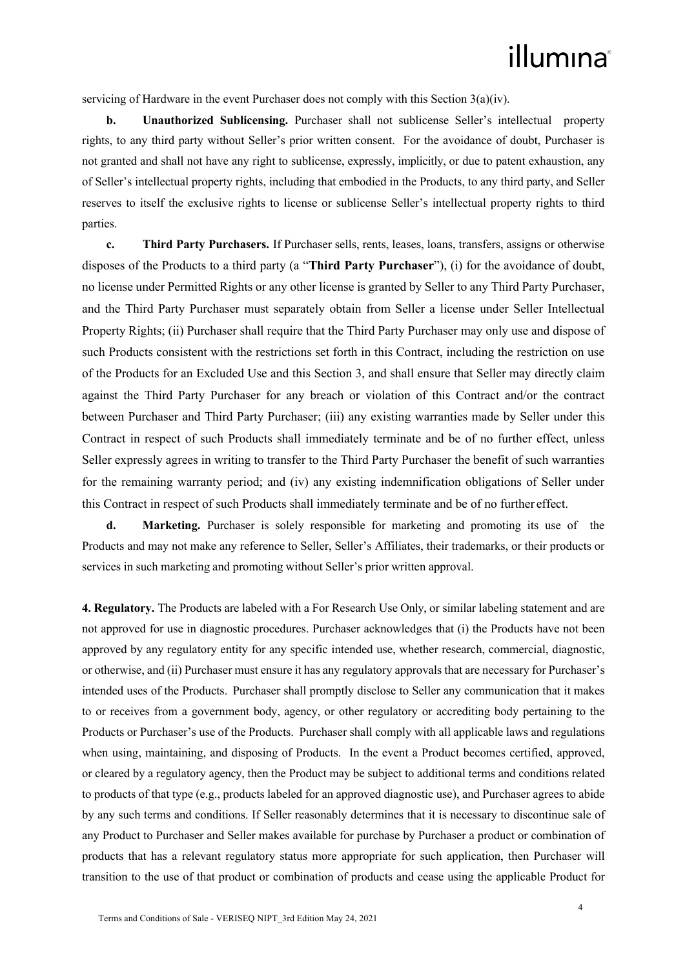servicing of Hardware in the event Purchaser does not comply with this Section 3(a)(iv).

**b. Unauthorized Sublicensing.** Purchaser shall not sublicense Seller's intellectual property rights, to any third party without Seller's prior written consent. For the avoidance of doubt, Purchaser is not granted and shall not have any right to sublicense, expressly, implicitly, or due to patent exhaustion, any of Seller's intellectual property rights, including that embodied in the Products, to any third party, and Seller reserves to itself the exclusive rights to license or sublicense Seller's intellectual property rights to third parties.

**c. Third Party Purchasers.** If Purchaser sells, rents, leases, loans, transfers, assigns or otherwise disposes of the Products to a third party (a "**Third Party Purchaser**"), (i) for the avoidance of doubt, no license under Permitted Rights or any other license is granted by Seller to any Third Party Purchaser, and the Third Party Purchaser must separately obtain from Seller a license under Seller Intellectual Property Rights; (ii) Purchaser shall require that the Third Party Purchaser may only use and dispose of such Products consistent with the restrictions set forth in this Contract, including the restriction on use of the Products for an Excluded Use and this Section 3, and shall ensure that Seller may directly claim against the Third Party Purchaser for any breach or violation of this Contract and/or the contract between Purchaser and Third Party Purchaser; (iii) any existing warranties made by Seller under this Contract in respect of such Products shall immediately terminate and be of no further effect, unless Seller expressly agrees in writing to transfer to the Third Party Purchaser the benefit of such warranties for the remaining warranty period; and (iv) any existing indemnification obligations of Seller under this Contract in respect of such Products shall immediately terminate and be of no further effect.

**d. Marketing.** Purchaser is solely responsible for marketing and promoting its use of the Products and may not make any reference to Seller, Seller's Affiliates, their trademarks, or their products or services in such marketing and promoting without Seller's prior written approval.

**4. Regulatory.** The Products are labeled with a For Research Use Only, or similar labeling statement and are not approved for use in diagnostic procedures. Purchaser acknowledges that (i) the Products have not been approved by any regulatory entity for any specific intended use, whether research, commercial, diagnostic, or otherwise, and (ii) Purchaser must ensure it has any regulatory approvals that are necessary for Purchaser's intended uses of the Products. Purchaser shall promptly disclose to Seller any communication that it makes to or receives from a government body, agency, or other regulatory or accrediting body pertaining to the Products or Purchaser's use of the Products. Purchaser shall comply with all applicable laws and regulations when using, maintaining, and disposing of Products. In the event a Product becomes certified, approved, or cleared by a regulatory agency, then the Product may be subject to additional terms and conditions related to products of that type (e.g., products labeled for an approved diagnostic use), and Purchaser agrees to abide by any such terms and conditions. If Seller reasonably determines that it is necessary to discontinue sale of any Product to Purchaser and Seller makes available for purchase by Purchaser a product or combination of products that has a relevant regulatory status more appropriate for such application, then Purchaser will transition to the use of that product or combination of products and cease using the applicable Product for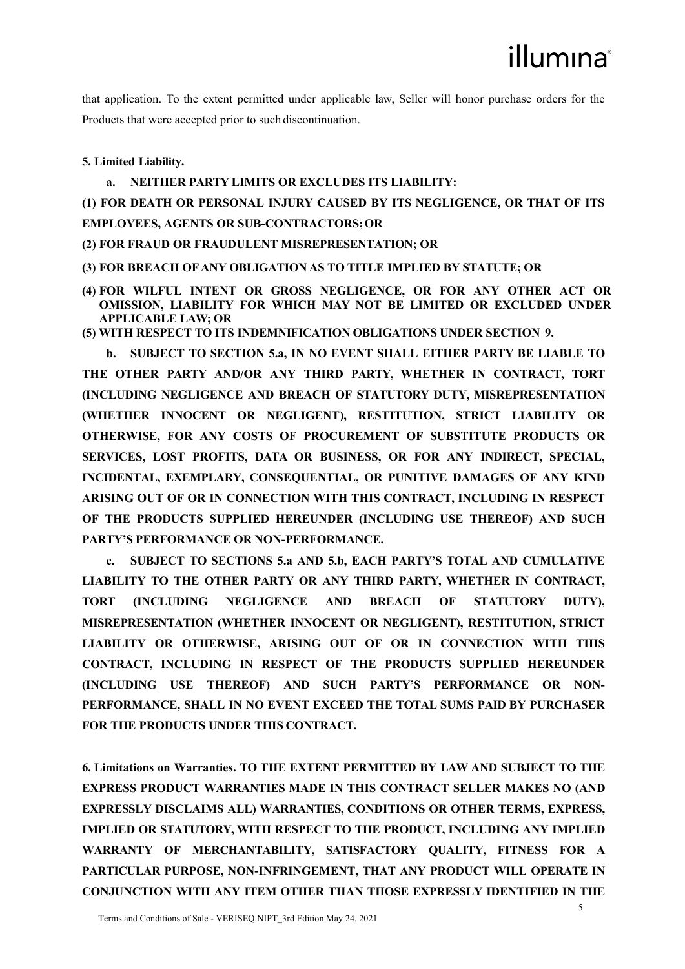that application. To the extent permitted under applicable law, Seller will honor purchase orders for the Products that were accepted prior to such discontinuation.

### **5. Limited Liability.**

### **a. NEITHER PARTY LIMITS OR EXCLUDES ITS LIABILITY:**

### **(1) FOR DEATH OR PERSONAL INJURY CAUSED BY ITS NEGLIGENCE, OR THAT OF ITS**

### **EMPLOYEES, AGENTS OR SUB-CONTRACTORS;OR**

**(2) FOR FRAUD OR FRAUDULENT MISREPRESENTATION; OR**

**(3) FOR BREACH OFANY OBLIGATION AS TO TITLE IMPLIED BY STATUTE; OR**

**(4) FOR WILFUL INTENT OR GROSS NEGLIGENCE, OR FOR ANY OTHER ACT OR OMISSION, LIABILITY FOR WHICH MAY NOT BE LIMITED OR EXCLUDED UNDER APPLICABLE LAW; OR**

**(5) WITH RESPECT TO ITS INDEMNIFICATION OBLIGATIONS UNDER SECTION 9.**

**b. SUBJECT TO SECTION 5.a, IN NO EVENT SHALL EITHER PARTY BE LIABLE TO THE OTHER PARTY AND/OR ANY THIRD PARTY, WHETHER IN CONTRACT, TORT (INCLUDING NEGLIGENCE AND BREACH OF STATUTORY DUTY, MISREPRESENTATION (WHETHER INNOCENT OR NEGLIGENT), RESTITUTION, STRICT LIABILITY OR OTHERWISE, FOR ANY COSTS OF PROCUREMENT OF SUBSTITUTE PRODUCTS OR SERVICES, LOST PROFITS, DATA OR BUSINESS, OR FOR ANY INDIRECT, SPECIAL, INCIDENTAL, EXEMPLARY, CONSEQUENTIAL, OR PUNITIVE DAMAGES OF ANY KIND ARISING OUT OF OR IN CONNECTION WITH THIS CONTRACT, INCLUDING IN RESPECT OF THE PRODUCTS SUPPLIED HEREUNDER (INCLUDING USE THEREOF) AND SUCH PARTY'S PERFORMANCE OR NON-PERFORMANCE.**

**c. SUBJECT TO SECTIONS 5.a AND 5.b, EACH PARTY'S TOTAL AND CUMULATIVE LIABILITY TO THE OTHER PARTY OR ANY THIRD PARTY, WHETHER IN CONTRACT, TORT (INCLUDING NEGLIGENCE AND BREACH OF STATUTORY DUTY), MISREPRESENTATION (WHETHER INNOCENT OR NEGLIGENT), RESTITUTION, STRICT LIABILITY OR OTHERWISE, ARISING OUT OF OR IN CONNECTION WITH THIS CONTRACT, INCLUDING IN RESPECT OF THE PRODUCTS SUPPLIED HEREUNDER (INCLUDING USE THEREOF) AND SUCH PARTY'S PERFORMANCE OR NON-PERFORMANCE, SHALL IN NO EVENT EXCEED THE TOTAL SUMS PAID BY PURCHASER FOR THE PRODUCTS UNDER THIS CONTRACT.**

**6. Limitations on Warranties. TO THE EXTENT PERMITTED BY LAW AND SUBJECT TO THE EXPRESS PRODUCT WARRANTIES MADE IN THIS CONTRACT SELLER MAKES NO (AND EXPRESSLY DISCLAIMS ALL) WARRANTIES, CONDITIONS OR OTHER TERMS, EXPRESS, IMPLIED OR STATUTORY, WITH RESPECT TO THE PRODUCT, INCLUDING ANY IMPLIED WARRANTY OF MERCHANTABILITY, SATISFACTORY QUALITY, FITNESS FOR A PARTICULAR PURPOSE, NON-INFRINGEMENT, THAT ANY PRODUCT WILL OPERATE IN CONJUNCTION WITH ANY ITEM OTHER THAN THOSE EXPRESSLY IDENTIFIED IN THE**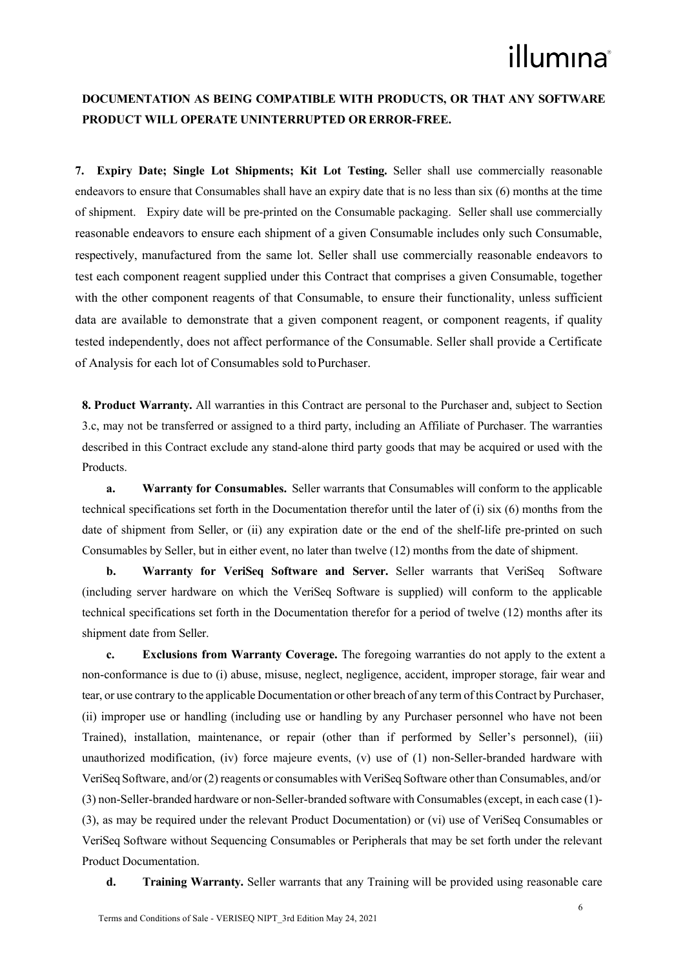# illumına

### **DOCUMENTATION AS BEING COMPATIBLE WITH PRODUCTS, OR THAT ANY SOFTWARE PRODUCT WILL OPERATE UNINTERRUPTED OR ERROR-FREE.**

**7. Expiry Date; Single Lot Shipments; Kit Lot Testing.** Seller shall use commercially reasonable endeavors to ensure that Consumables shall have an expiry date that is no less than six (6) months at the time of shipment. Expiry date will be pre-printed on the Consumable packaging. Seller shall use commercially reasonable endeavors to ensure each shipment of a given Consumable includes only such Consumable, respectively, manufactured from the same lot. Seller shall use commercially reasonable endeavors to test each component reagent supplied under this Contract that comprises a given Consumable, together with the other component reagents of that Consumable, to ensure their functionality, unless sufficient data are available to demonstrate that a given component reagent, or component reagents, if quality tested independently, does not affect performance of the Consumable. Seller shall provide a Certificate of Analysis for each lot of Consumables sold toPurchaser.

**8. Product Warranty.** All warranties in this Contract are personal to the Purchaser and, subject to Section 3.c, may not be transferred or assigned to a third party, including an Affiliate of Purchaser. The warranties described in this Contract exclude any stand-alone third party goods that may be acquired or used with the Products.

**a. Warranty for Consumables.** Seller warrants that Consumables will conform to the applicable technical specifications set forth in the Documentation therefor until the later of (i) six (6) months from the date of shipment from Seller, or (ii) any expiration date or the end of the shelf-life pre-printed on such Consumables by Seller, but in either event, no later than twelve (12) months from the date of shipment.

**b. Warranty for VeriSeq Software and Server.** Seller warrants that VeriSeq Software (including server hardware on which the VeriSeq Software is supplied) will conform to the applicable technical specifications set forth in the Documentation therefor for a period of twelve (12) months after its shipment date from Seller.

**c. Exclusions from Warranty Coverage.** The foregoing warranties do not apply to the extent a non-conformance is due to (i) abuse, misuse, neglect, negligence, accident, improper storage, fair wear and tear, or use contrary to the applicable Documentation or other breach of any term ofthisContract by Purchaser, (ii) improper use or handling (including use or handling by any Purchaser personnel who have not been Trained), installation, maintenance, or repair (other than if performed by Seller's personnel), (iii) unauthorized modification, (iv) force majeure events, (v) use of (1) non-Seller-branded hardware with VeriSeq Software, and/or (2) reagents or consumables with VeriSeq Software other than Consumables, and/or (3) non-Seller-branded hardware or non-Seller-branded software with Consumables(except, in each case (1)- (3), as may be required under the relevant Product Documentation) or (vi) use of VeriSeq Consumables or VeriSeq Software without Sequencing Consumables or Peripherals that may be set forth under the relevant Product Documentation.

**d. Training Warranty.** Seller warrants that any Training will be provided using reasonable care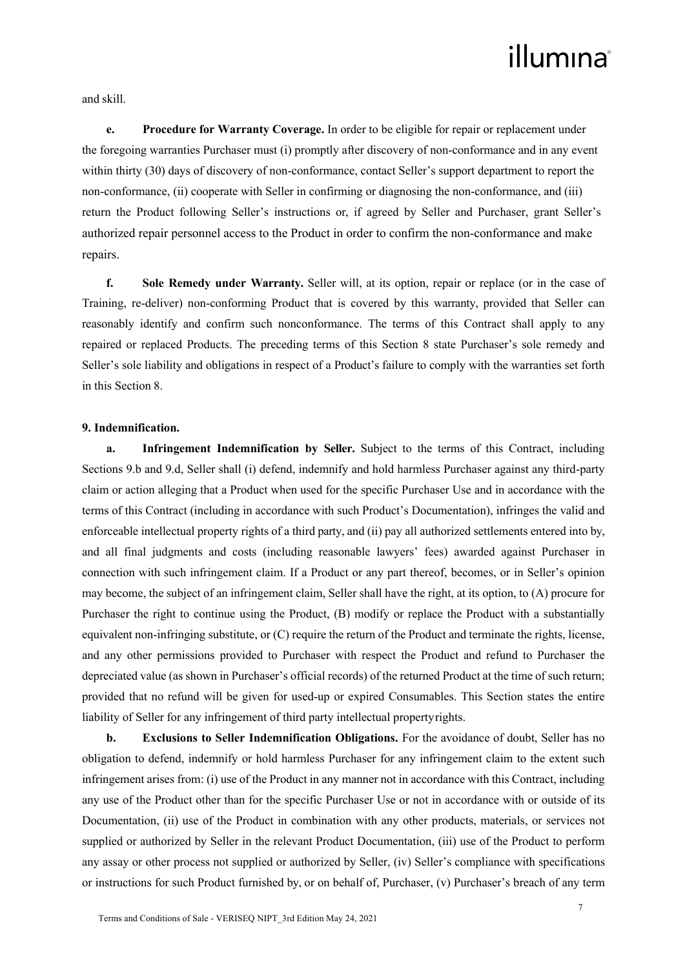# illumına

and skill.

**e. Procedure for Warranty Coverage.** In order to be eligible for repair or replacement under the foregoing warranties Purchaser must (i) promptly after discovery of non-conformance and in any event within thirty (30) days of discovery of non-conformance, contact Seller's support department to report the non-conformance, (ii) cooperate with Seller in confirming or diagnosing the non-conformance, and (iii) return the Product following Seller's instructions or, if agreed by Seller and Purchaser, grant Seller's authorized repair personnel access to the Product in order to confirm the non-conformance and make repairs.

**f. Sole Remedy under Warranty.** Seller will, at its option, repair or replace (or in the case of Training, re-deliver) non-conforming Product that is covered by this warranty, provided that Seller can reasonably identify and confirm such nonconformance. The terms of this Contract shall apply to any repaired or replaced Products. The preceding terms of this Section 8 state Purchaser's sole remedy and Seller's sole liability and obligations in respect of a Product's failure to comply with the warranties set forth in this Section 8.

### **9. Indemnification.**

**a. Infringement Indemnification by Seller.** Subject to the terms of this Contract, including Sections 9.b and 9.d, Seller shall (i) defend, indemnify and hold harmless Purchaser against any third-party claim or action alleging that a Product when used for the specific Purchaser Use and in accordance with the terms of this Contract (including in accordance with such Product's Documentation), infringes the valid and enforceable intellectual property rights of a third party, and (ii) pay all authorized settlements entered into by, and all final judgments and costs (including reasonable lawyers' fees) awarded against Purchaser in connection with such infringement claim. If a Product or any part thereof, becomes, or in Seller's opinion may become, the subject of an infringement claim, Seller shall have the right, at its option, to (A) procure for Purchaser the right to continue using the Product, (B) modify or replace the Product with a substantially equivalent non-infringing substitute, or (C) require the return of the Product and terminate the rights, license, and any other permissions provided to Purchaser with respect the Product and refund to Purchaser the depreciated value (as shown in Purchaser's official records) of the returned Product at the time of such return; provided that no refund will be given for used-up or expired Consumables. This Section states the entire liability of Seller for any infringement of third party intellectual propertyrights.

**b. Exclusions to Seller Indemnification Obligations.** For the avoidance of doubt, Seller has no obligation to defend, indemnify or hold harmless Purchaser for any infringement claim to the extent such infringement arises from: (i) use of the Product in any manner not in accordance with this Contract, including any use of the Product other than for the specific Purchaser Use or not in accordance with or outside of its Documentation, (ii) use of the Product in combination with any other products, materials, or services not supplied or authorized by Seller in the relevant Product Documentation, (iii) use of the Product to perform any assay or other process not supplied or authorized by Seller, (iv) Seller's compliance with specifications or instructions for such Product furnished by, or on behalf of, Purchaser, (v) Purchaser's breach of any term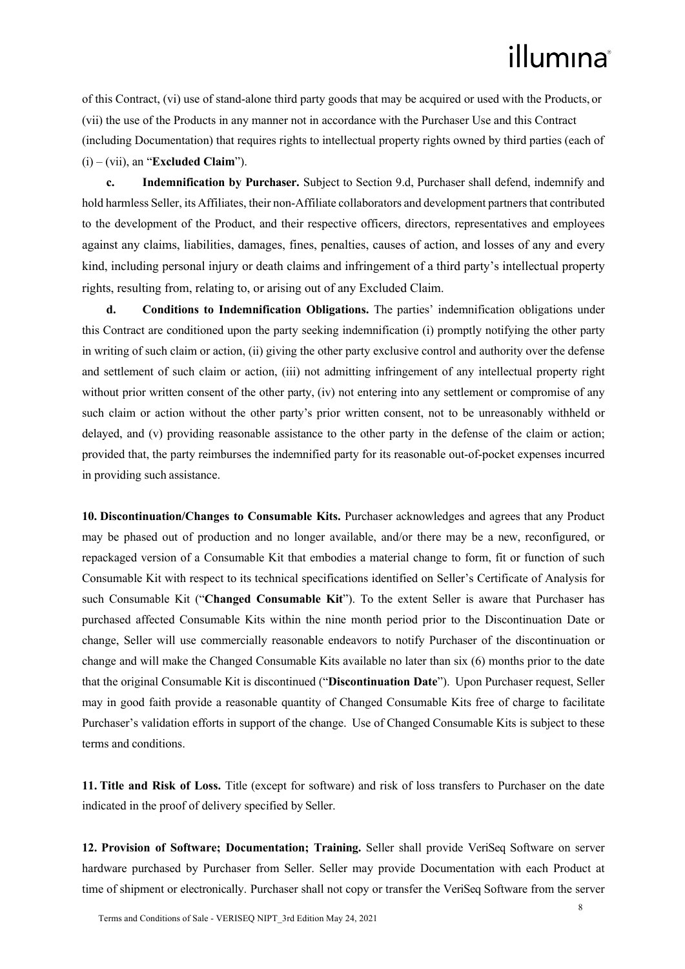of this Contract, (vi) use of stand-alone third party goods that may be acquired or used with the Products, or (vii) the use of the Products in any manner not in accordance with the Purchaser Use and this Contract (including Documentation) that requires rights to intellectual property rights owned by third parties (each of (i) – (vii), an "**Excluded Claim**").

**c. Indemnification by Purchaser.** Subject to Section 9.d, Purchaser shall defend, indemnify and hold harmless Seller, its Affiliates, their non-Affiliate collaborators and development partners that contributed to the development of the Product, and their respective officers, directors, representatives and employees against any claims, liabilities, damages, fines, penalties, causes of action, and losses of any and every kind, including personal injury or death claims and infringement of a third party's intellectual property rights, resulting from, relating to, or arising out of any Excluded Claim.

**d. Conditions to Indemnification Obligations.** The parties' indemnification obligations under this Contract are conditioned upon the party seeking indemnification (i) promptly notifying the other party in writing of such claim or action, (ii) giving the other party exclusive control and authority over the defense and settlement of such claim or action, (iii) not admitting infringement of any intellectual property right without prior written consent of the other party, (iv) not entering into any settlement or compromise of any such claim or action without the other party's prior written consent, not to be unreasonably withheld or delayed, and (v) providing reasonable assistance to the other party in the defense of the claim or action; provided that, the party reimburses the indemnified party for its reasonable out-of-pocket expenses incurred in providing such assistance.

**10. Discontinuation/Changes to Consumable Kits.** Purchaser acknowledges and agrees that any Product may be phased out of production and no longer available, and/or there may be a new, reconfigured, or repackaged version of a Consumable Kit that embodies a material change to form, fit or function of such Consumable Kit with respect to its technical specifications identified on Seller's Certificate of Analysis for such Consumable Kit ("**Changed Consumable Kit**"). To the extent Seller is aware that Purchaser has purchased affected Consumable Kits within the nine month period prior to the Discontinuation Date or change, Seller will use commercially reasonable endeavors to notify Purchaser of the discontinuation or change and will make the Changed Consumable Kits available no later than six (6) months prior to the date that the original Consumable Kit is discontinued ("**Discontinuation Date**"). Upon Purchaser request, Seller may in good faith provide a reasonable quantity of Changed Consumable Kits free of charge to facilitate Purchaser's validation efforts in support of the change. Use of Changed Consumable Kits is subject to these terms and conditions.

**11. Title and Risk of Loss.** Title (except for software) and risk of loss transfers to Purchaser on the date indicated in the proof of delivery specified by Seller.

**12. Provision of Software; Documentation; Training.** Seller shall provide VeriSeq Software on server hardware purchased by Purchaser from Seller. Seller may provide Documentation with each Product at time of shipment or electronically. Purchaser shall not copy or transfer the VeriSeq Software from the server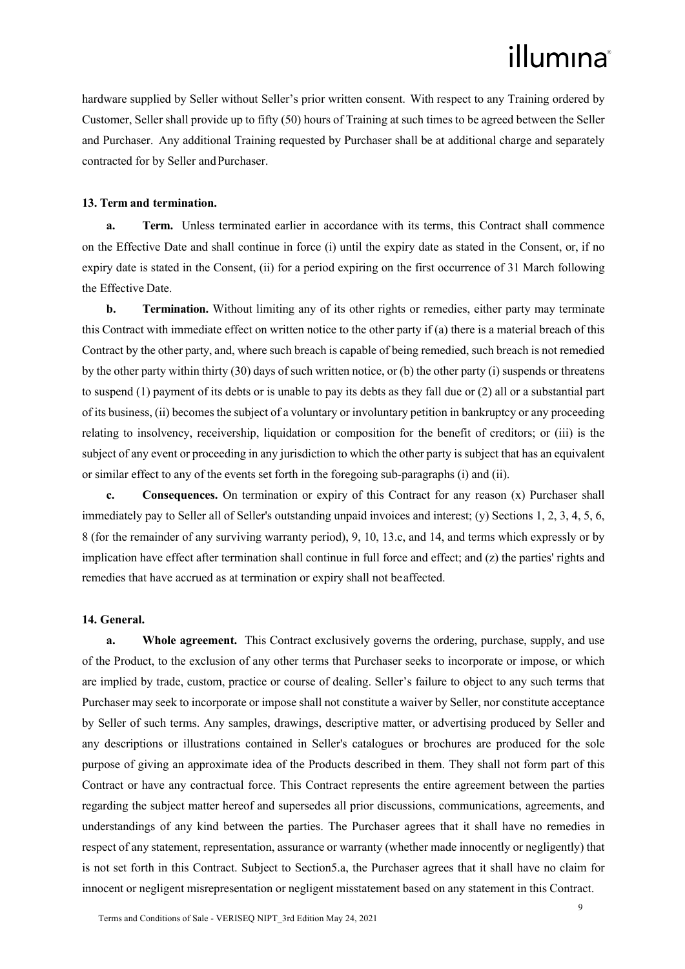hardware supplied by Seller without Seller's prior written consent. With respect to any Training ordered by Customer, Seller shall provide up to fifty (50) hours of Training at such times to be agreed between the Seller and Purchaser. Any additional Training requested by Purchaser shall be at additional charge and separately contracted for by Seller andPurchaser.

### **13. Term and termination.**

**a. Term.** Unless terminated earlier in accordance with its terms, this Contract shall commence on the Effective Date and shall continue in force (i) until the expiry date as stated in the Consent, or, if no expiry date is stated in the Consent, (ii) for a period expiring on the first occurrence of 31 March following the Effective Date.

**b. Termination.** Without limiting any of its other rights or remedies, either party may terminate this Contract with immediate effect on written notice to the other party if (a) there is a material breach of this Contract by the other party, and, where such breach is capable of being remedied, such breach is not remedied by the other party within thirty (30) days of such written notice, or (b) the other party (i) suspends or threatens to suspend (1) payment of its debts or is unable to pay its debts as they fall due or (2) all or a substantial part of its business, (ii) becomes the subject of a voluntary or involuntary petition in bankruptcy or any proceeding relating to insolvency, receivership, liquidation or composition for the benefit of creditors; or (iii) is the subject of any event or proceeding in any jurisdiction to which the other party is subject that has an equivalent or similar effect to any of the events set forth in the foregoing sub-paragraphs (i) and (ii).

**c. Consequences.** On termination or expiry of this Contract for any reason (x) Purchaser shall immediately pay to Seller all of Seller's outstanding unpaid invoices and interest; (y) Sections 1, 2, 3, 4, 5, 6, 8 (for the remainder of any surviving warranty period), 9, 10, 13.c, and 14, and terms which expressly or by implication have effect after termination shall continue in full force and effect; and (z) the parties' rights and remedies that have accrued as at termination or expiry shall not beaffected.

### **14. General.**

**a. Whole agreement.** This Contract exclusively governs the ordering, purchase, supply, and use of the Product, to the exclusion of any other terms that Purchaser seeks to incorporate or impose, or which are implied by trade, custom, practice or course of dealing. Seller's failure to object to any such terms that Purchaser may seek to incorporate or impose shall not constitute a waiver by Seller, nor constitute acceptance by Seller of such terms. Any samples, drawings, descriptive matter, or advertising produced by Seller and any descriptions or illustrations contained in Seller's catalogues or brochures are produced for the sole purpose of giving an approximate idea of the Products described in them. They shall not form part of this Contract or have any contractual force. This Contract represents the entire agreement between the parties regarding the subject matter hereof and supersedes all prior discussions, communications, agreements, and understandings of any kind between the parties. The Purchaser agrees that it shall have no remedies in respect of any statement, representation, assurance or warranty (whether made innocently or negligently) that is not set forth in this Contract. Subject to Section5.a, the Purchaser agrees that it shall have no claim for innocent or negligent misrepresentation or negligent misstatement based on any statement in this Contract.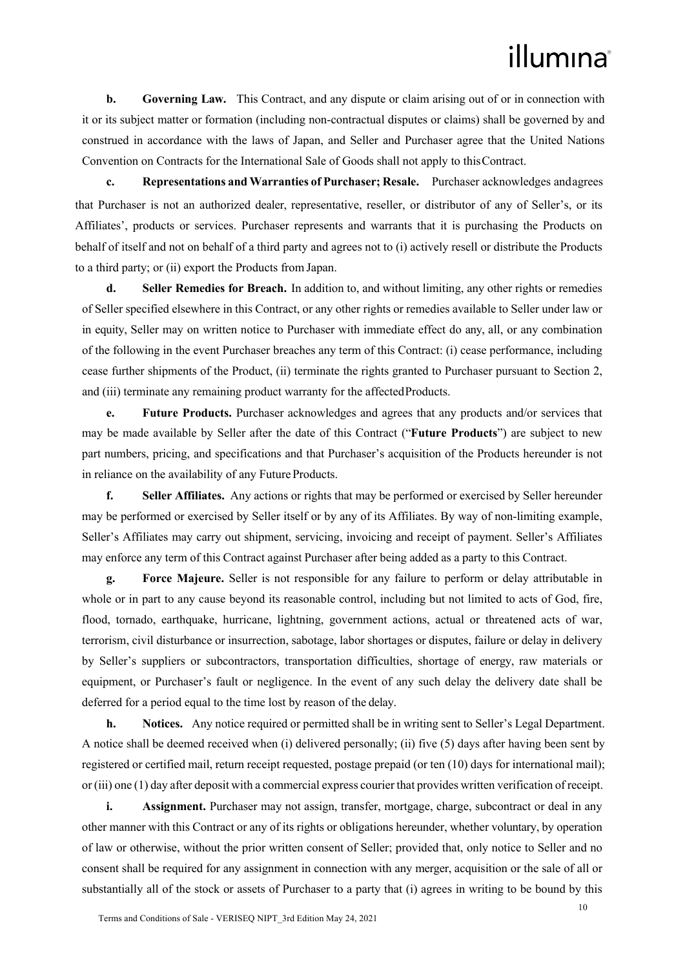**b. Governing Law.** This Contract, and any dispute or claim arising out of or in connection with it or its subject matter or formation (including non-contractual disputes or claims) shall be governed by and construed in accordance with the laws of Japan, and Seller and Purchaser agree that the United Nations Convention on Contracts for the International Sale of Goods shall not apply to thisContract.

**c. Representations and Warranties of Purchaser; Resale.** Purchaser acknowledges andagrees that Purchaser is not an authorized dealer, representative, reseller, or distributor of any of Seller's, or its Affiliates', products or services. Purchaser represents and warrants that it is purchasing the Products on behalf of itself and not on behalf of a third party and agrees not to (i) actively resell or distribute the Products to a third party; or (ii) export the Products from Japan.

**d. Seller Remedies for Breach.** In addition to, and without limiting, any other rights or remedies of Seller specified elsewhere in this Contract, or any other rights or remedies available to Seller under law or in equity, Seller may on written notice to Purchaser with immediate effect do any, all, or any combination of the following in the event Purchaser breaches any term of this Contract: (i) cease performance, including cease further shipments of the Product, (ii) terminate the rights granted to Purchaser pursuant to Section 2, and (iii) terminate any remaining product warranty for the affectedProducts.

**e. Future Products.** Purchaser acknowledges and agrees that any products and/or services that may be made available by Seller after the date of this Contract ("**Future Products**") are subject to new part numbers, pricing, and specifications and that Purchaser's acquisition of the Products hereunder is not in reliance on the availability of any Future Products.

**f. Seller Affiliates.** Any actions or rights that may be performed or exercised by Seller hereunder may be performed or exercised by Seller itself or by any of its Affiliates. By way of non-limiting example, Seller's Affiliates may carry out shipment, servicing, invoicing and receipt of payment. Seller's Affiliates may enforce any term of this Contract against Purchaser after being added as a party to this Contract.

**g. Force Majeure.** Seller is not responsible for any failure to perform or delay attributable in whole or in part to any cause beyond its reasonable control, including but not limited to acts of God, fire, flood, tornado, earthquake, hurricane, lightning, government actions, actual or threatened acts of war, terrorism, civil disturbance or insurrection, sabotage, labor shortages or disputes, failure or delay in delivery by Seller's suppliers or subcontractors, transportation difficulties, shortage of energy, raw materials or equipment, or Purchaser's fault or negligence. In the event of any such delay the delivery date shall be deferred for a period equal to the time lost by reason of the delay.

**h. Notices.** Any notice required or permitted shall be in writing sent to Seller's Legal Department. A notice shall be deemed received when (i) delivered personally; (ii) five (5) days after having been sent by registered or certified mail, return receipt requested, postage prepaid (or ten (10) days for international mail); or (iii) one (1) day after deposit with a commercial express courier that provides written verification of receipt.

**i. Assignment.** Purchaser may not assign, transfer, mortgage, charge, subcontract or deal in any other manner with this Contract or any of its rights or obligations hereunder, whether voluntary, by operation of law or otherwise, without the prior written consent of Seller; provided that, only notice to Seller and no consent shall be required for any assignment in connection with any merger, acquisition or the sale of all or substantially all of the stock or assets of Purchaser to a party that (i) agrees in writing to be bound by this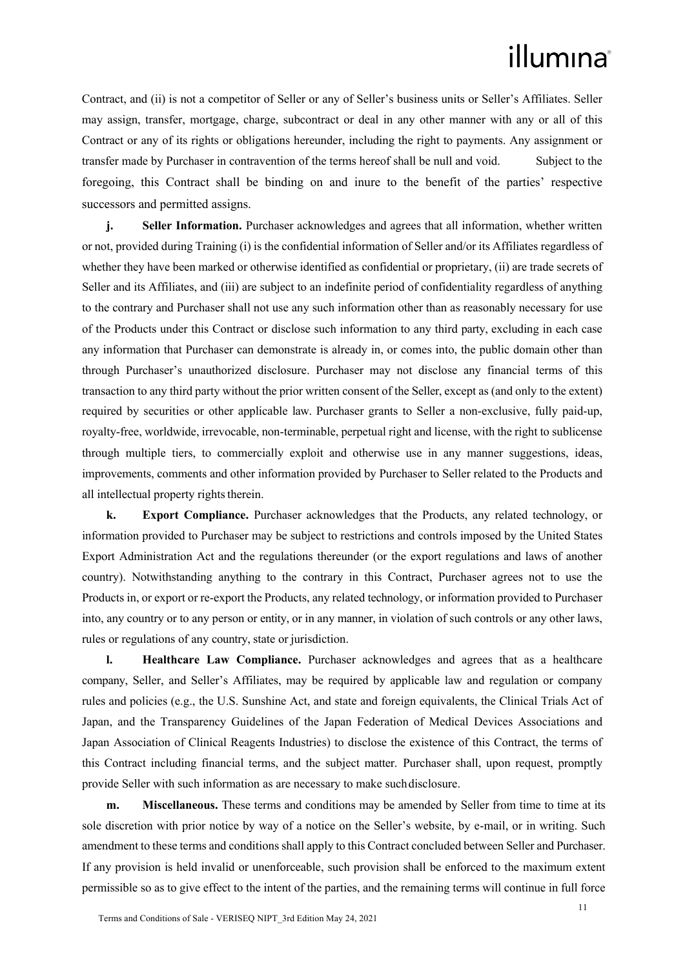Contract, and (ii) is not a competitor of Seller or any of Seller's business units or Seller's Affiliates. Seller may assign, transfer, mortgage, charge, subcontract or deal in any other manner with any or all of this Contract or any of its rights or obligations hereunder, including the right to payments. Any assignment or transfer made by Purchaser in contravention of the terms hereof shall be null and void. Subject to the foregoing, this Contract shall be binding on and inure to the benefit of the parties' respective successors and permitted assigns.

**j. Seller Information.** Purchaser acknowledges and agrees that all information, whether written or not, provided during Training (i) is the confidential information of Seller and/or its Affiliates regardless of whether they have been marked or otherwise identified as confidential or proprietary, (ii) are trade secrets of Seller and its Affiliates, and (iii) are subject to an indefinite period of confidentiality regardless of anything to the contrary and Purchaser shall not use any such information other than as reasonably necessary for use of the Products under this Contract or disclose such information to any third party, excluding in each case any information that Purchaser can demonstrate is already in, or comes into, the public domain other than through Purchaser's unauthorized disclosure. Purchaser may not disclose any financial terms of this transaction to any third party without the prior written consent of the Seller, except as (and only to the extent) required by securities or other applicable law. Purchaser grants to Seller a non-exclusive, fully paid-up, royalty-free, worldwide, irrevocable, non-terminable, perpetual right and license, with the right to sublicense through multiple tiers, to commercially exploit and otherwise use in any manner suggestions, ideas, improvements, comments and other information provided by Purchaser to Seller related to the Products and all intellectual property rights therein.

**k. Export Compliance.** Purchaser acknowledges that the Products, any related technology, or information provided to Purchaser may be subject to restrictions and controls imposed by the United States Export Administration Act and the regulations thereunder (or the export regulations and laws of another country). Notwithstanding anything to the contrary in this Contract, Purchaser agrees not to use the Products in, or export or re-export the Products, any related technology, or information provided to Purchaser into, any country or to any person or entity, or in any manner, in violation of such controls or any other laws, rules or regulations of any country, state or jurisdiction.

**l. Healthcare Law Compliance.** Purchaser acknowledges and agrees that as a healthcare company, Seller, and Seller's Affiliates, may be required by applicable law and regulation or company rules and policies (e.g., the U.S. Sunshine Act, and state and foreign equivalents, the Clinical Trials Act of Japan, and the Transparency Guidelines of the Japan Federation of Medical Devices Associations and Japan Association of Clinical Reagents Industries) to disclose the existence of this Contract, the terms of this Contract including financial terms, and the subject matter. Purchaser shall, upon request, promptly provide Seller with such information as are necessary to make suchdisclosure.

**m. Miscellaneous.** These terms and conditions may be amended by Seller from time to time at its sole discretion with prior notice by way of a notice on the Seller's website, by e-mail, or in writing. Such amendment to these terms and conditions shall apply to this Contract concluded between Seller and Purchaser. If any provision is held invalid or unenforceable, such provision shall be enforced to the maximum extent permissible so as to give effect to the intent of the parties, and the remaining terms will continue in full force